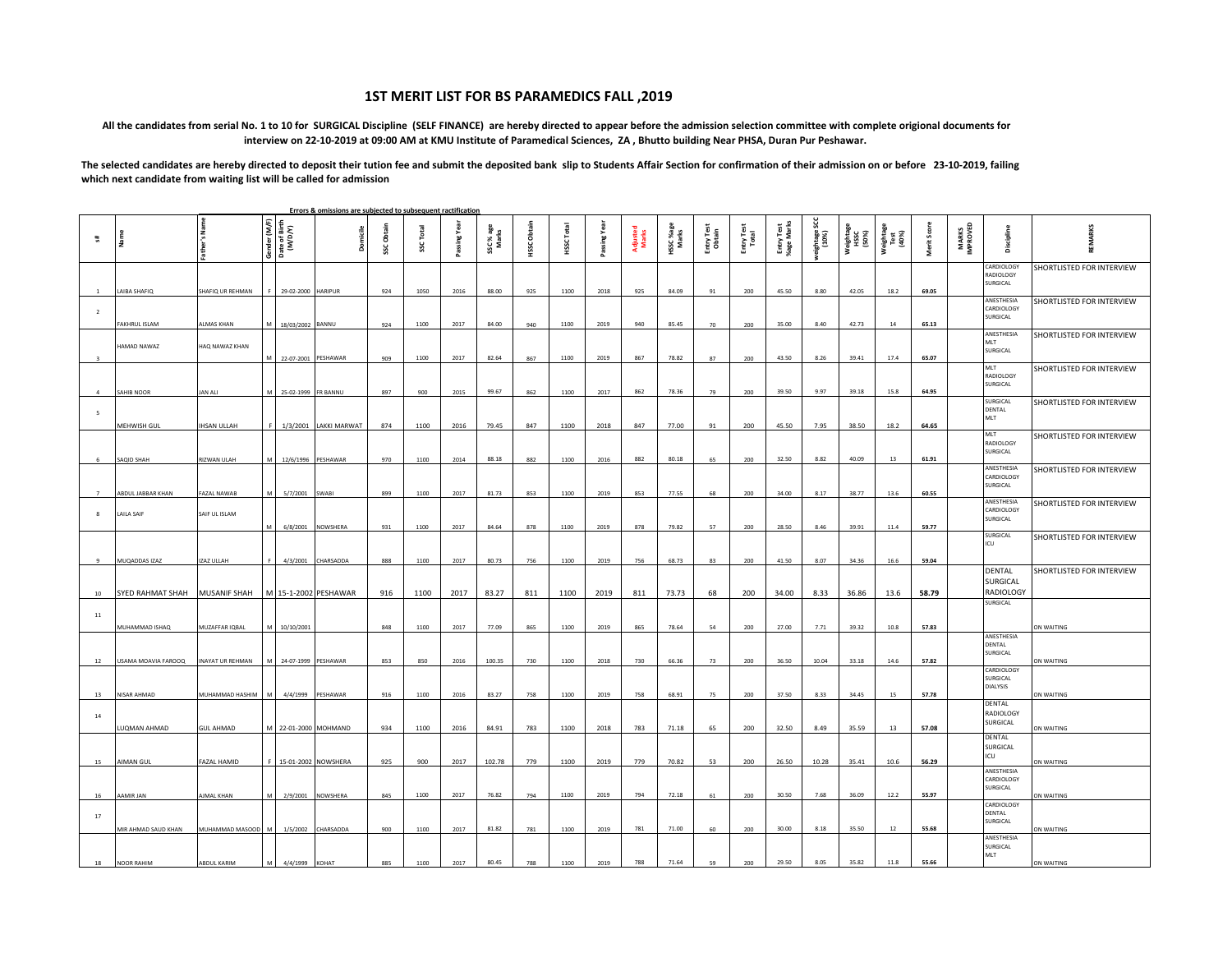## **1ST MERIT LIST FOR BS PARAMEDICS FALL ,2019**

## **All the candidates from serial No. 1 to 10 for SURGICAL Discipline (SELF FINANCE) are hereby directed to appear before the admission selection committee with complete origional documents for interview on 22-10-2019 at 09:00 AM at KMU Institute of Paramedical Sciences, ZA , Bhutto building Near PHSA, Duran Pur Peshawar.**

The selected candidates are hereby directed to deposit their tution fee and submit the deposited bank slip to Students Affair Section for confirmation of their admission on or before 23-10-2019, failing **which next candidate from waiting list will be called for admission**

|                |                     |                     |                                          | Errors & omissions are subjected to subsequent ractification |            |              |              |                    |                    |                            |                 |                   |                   |                      |                     |                          |                  |                            |                            |             |                           |                                           |                           |
|----------------|---------------------|---------------------|------------------------------------------|--------------------------------------------------------------|------------|--------------|--------------|--------------------|--------------------|----------------------------|-----------------|-------------------|-------------------|----------------------|---------------------|--------------------------|------------------|----------------------------|----------------------------|-------------|---------------------------|-------------------------------------------|---------------------------|
| 翡              |                     | Name                | Gender (M/F)<br>Date of Birth<br>(M/D/Y) |                                                              | SSC Obtain | Total<br>SSC | Passing Year | SSC % age<br>Marks | <b>HSSC Obtain</b> | Total<br>HSSC <sup>-</sup> | year<br>Passing | Adjusted<br>Marks | HSC %age<br>Marks | Entry Test<br>Obtain | Entry Test<br>Total | Entry Test<br>%age Marks | ghtage:<br>(10%) | Weightage<br>HSSC<br>(50%) | Weightage<br>Test<br>(40%) | Merit Score | <b>MARKS<br/>IMPROVED</b> | Discipline                                | <b>REMARKS</b>            |
|                | AIBA SHAFIQ         | SHAFIQ UR REHMAN    | 29-02-2000 HARIPUR                       |                                                              | 924        | 1050         | 2016         | 88.00              | 925                | 1100                       | 2018            | 925               | 84.09             | 91                   | 200                 | 45.50                    | 8.80             | 42.05                      | 18.2                       | 69.05       |                           | CARDIOLOGY<br>RADIOLOGY<br><b>URGICAL</b> | SHORTLISTED FOR INTERVIEW |
| $\overline{2}$ | FAKHRUL ISLAM       | <b>ALMAS KHAN</b>   | 18/03/2002 BANNU                         |                                                              | 924        | 1100         | 2017         | 84.00              | 940                | 1100                       | 2019            | 940               | 85.45             | 70                   | 200                 | 35.00                    | 8.40             | 42.73                      | 14                         | 65.13       |                           | ANESTHESIA<br>CARDIOLOGY<br>SURGICAL      | SHORTLISTED FOR INTERVIEW |
| $\mathbf{R}$   | HAMAD NAWAZ         | HAQ NAWAZ KHAN      |                                          | 22-07-2001 PESHAWAR                                          | 909        | 1100         | 2017         | 82.64              | 867                | 1100                       | 2019            | 867               | 78.82             | 87                   | 200                 | 43.50                    | 8.26             | 39.41                      | 17.4                       | 65.07       |                           | ANESTHESIA<br>MLT<br>SURGICAL             | SHORTLISTED FOR INTERVIEW |
| $\mathbf{A}$   | SAHIB NOOR          | JAN ALI             | 25-02-1999 FR BANNU                      |                                                              | 897        | 900          | 2015         | 99.67              | 862                | 1100                       | 2017            | 862               | 78.36             | 79                   | 200                 | 39.50                    | 9.97             | 39.18                      | 15.8                       | 64.95       |                           | MLT<br>RADIOLOGY<br>SURGICAL              | SHORTLISTED FOR INTERVIEW |
| -5             | MEHWISH GUL         | <b>IHSAN ULLAH</b>  | 1/3/2001                                 | <b>LAKKI MARWAT</b>                                          | 874        | 1100         | 2016         | 79.45              | 847                | 1100                       | 2018            | 847               | 77.00             | 91                   | 200                 | 45.50                    | 7.95             | 38.50                      | 18.2                       | 64.65       |                           | SURGICAL<br>DENTAL<br>MLT                 | SHORTLISTED FOR INTERVIEW |
|                | AQID SHAH           | RIZWAN ULAH         | 12/6/1996                                | PESHAWAR                                                     | 970        | 1100         | 2014         | 88.18              | 882                | 1100                       | 2016            | 882               | 80.18             | 65                   | 200                 | 32.50                    | 8.82             | 40.09                      | 13                         | 61.91       |                           | MLT<br>RADIOLOGY<br>SURGICAL              | SHORTLISTED FOR INTERVIEW |
| $\overline{7}$ | ABDUL JABBAR KHAN   | FAZAL NAWAB         | 5/7/2001                                 | <b>SWARI</b>                                                 | 899        | 1100         | 2017         | 81.73              | 853                | 1100                       | 2019            | 853               | 77.55             | 68                   | 200                 | 34.00                    | 8.17             | 38.77                      | 13.6                       | 60.55       |                           | ANESTHESIA<br>CARDIOLOGY<br>SURGICAL      | SHORTLISTED FOR INTERVIEW |
| -8             | <b>LAILA SAIF</b>   | SAIF UL ISLAM       | 6/8/2001                                 | NOWSHERA                                                     | 931        | 1100         | 2017         | 84.64              | 878                | 1100                       | 2019            | 878               | 79.82             | 57                   | 200                 | 28.50                    | 8.46             | 39.91                      | 11.4                       | 59.77       |                           | ANESTHESIA<br>CARDIOLOGY<br>SURGICAL      | SHORTLISTED FOR INTERVIEW |
| -9             | MUQADDAS IZAZ       | IZAZ ULLAH          |                                          | 4/3/2001 CHARSADDA                                           | 888        | 1100         | 2017         | 80.73              | 756                | 1100                       | 2019            | 756               | 68.73             | 83                   | 200                 | 41.50                    | 8.07             | 34.36                      | 16.6                       | 59.04       |                           | SURGICAL<br>ICU                           | SHORTLISTED FOR INTERVIEW |
| 10             | SYED RAHMAT SHAH    | <b>MUSANIF SHAH</b> |                                          | M 15-1-2002 PESHAWAR                                         | 916        | 1100         | 2017         | 83.27              | 811                | 1100                       | 2019            | 811               | 73.73             | 68                   | 200                 | 34.00                    | 8.33             | 36.86                      | 13.6                       | 58.79       |                           | DENTAL<br>SURGICAL<br><b>RADIOLOGY</b>    | SHORTLISTED FOR INTERVIEW |
| 11             | MUHAMMAD ISHAQ      | MUZAFFAR IQBAL      | 10/10/2001                               |                                                              | 848        | 1100         | 2017         | 77.09              | 865                | 1100                       | 2019            | 865               | 78.64             | 54                   | 200                 | 27.00                    | 7.71             | 39.32                      | 10.8                       | 57.83       |                           | SURGICAL                                  | ON WAITING                |
| $12\,$         | USAMA MOAVIA FAROOQ | INAYAT UR REHMAN    | 24-07-1999                               | PESHAWAR                                                     | 853        | 850          | 2016         | 100.35             | 730                | 1100                       | 2018            | 730               | 66.36             | 73                   | 200                 | 36.50                    | 10.04            | 33.18                      | 14.6                       | 57.82       |                           | ANESTHESIA<br>DENTAL<br>SURGICAL          | ON WAITING                |
| 13             | NISAR AHMAD         | MUHAMMAD HASHIM     | 4/4/1999                                 | PESHAWAR                                                     | 916        | 1100         | 2016         | 83.27              | 758                | 1100                       | 2019            | 758               | 68.91             | 75                   | 200                 | 37.50                    | 8.33             | 34.45                      | 15                         | 57.78       |                           | CARDIOLOGY<br><b>JURGICAL</b><br>DIALYSIS | <b>ON WAITING</b>         |
| 14             | UQMAN AHMAD         | <b>GUL AHMAD</b>    |                                          | 22-01-2000 MOHMAND                                           | 934        | 1100         | 2016         | 84.91              | 783                | 1100                       | 2018            | 783               | 71.18             | 65                   | 200                 | 32.50                    | 8.49             | 35.59                      | 13                         | 57.08       |                           | DENTAL<br>RADIOLOGY<br>SURGICAL           | <b>N WAITING</b>          |
| 15             | AIMAN GUL           | FAZAL HAMID         |                                          | 15-01-2002 NOWSHERA                                          | 925        | 900          | 2017         | 102.78             | 779                | 1100                       | 2019            | 779               | 70.82             | 53                   | 200                 | 26.50                    | 10.28            | 35.41                      | 10.6                       | 56.29       |                           | DENTAL<br>SURGICAL<br>ICU                 | <b>ON WAITING</b>         |
| 16             | AMIR JAN            | AJMAL KHAN          | 2/9/2001                                 | <b>NOWSHERA</b>                                              | 845        | 1100         | 2017         | 76.82              | 794                | 1100                       | 2019            | 794               | 72.18             | 61                   | 200                 | 30.50                    | 7.68             | 36.09                      | 12.2                       | 55.97       |                           | ANESTHESIA<br>CARDIOLOGY<br>SURGICAL      | <b>ON WAITING</b>         |
| 17             | MIR AHMAD SAUD KHAN | MUHAMMAD MASOOD     | 1/5/2002                                 | CHARSADDA                                                    | 900        | 1100         | 2017         | 81.82              | 781                | 1100                       | 2019            | 781               | 71.00             | 60                   | 200                 | 30.00                    | 8.18             | 35.50                      | 12                         | 55.68       |                           | CARDIOLOGY<br>DENTAL<br>SURGICAL          | ON WAITING                |
| 18             | <b>NOOR RAHIM</b>   | ABDUL KARIM         | 4/4/1999 KOHAT                           |                                                              | 885        | 1100         | 2017         | 80.45              | 788                | 1100                       | 2019            | 788               | 71.64             | 59                   | 200                 | 29.50                    | 8.05             | 35.82                      | 11.8                       | 55.66       |                           | ANESTHESIA<br>SURGICAL<br>MLT             | ON WAITING                |